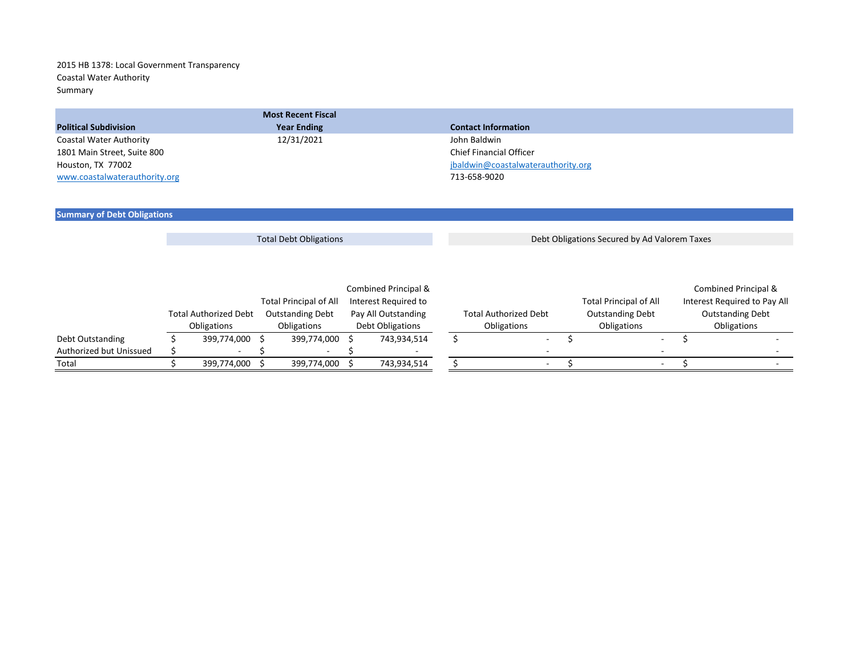## 2015 HB 1378: Local Government Transparency Coastal Water Authority Summary

|                               | <b>Most Recent Fiscal</b> |                                    |
|-------------------------------|---------------------------|------------------------------------|
| <b>Political Subdivision</b>  | <b>Year Ending</b>        | <b>Contact Information</b>         |
| Coastal Water Authority       | 12/31/2021                | John Baldwin                       |
| 1801 Main Street, Suite 800   |                           | Chief Financial Officer            |
| Houston, TX 77002             |                           | jbaldwin@coastalwaterauthority.org |
| www.coastalwaterauthority.org |                           | 713-658-9020                       |

## **Summary of Debt Obligations**

Total Debt Obligations **Debt Obligations Secured by Ad Valorem Taxes** 

|                         |                              |                    |                               |  | Combined Principal & |             |                              |             |                               |                         | Combined Principal &         |
|-------------------------|------------------------------|--------------------|-------------------------------|--|----------------------|-------------|------------------------------|-------------|-------------------------------|-------------------------|------------------------------|
|                         |                              |                    | <b>Total Principal of All</b> |  | Interest Required to |             |                              |             | <b>Total Principal of All</b> |                         | Interest Required to Pay All |
|                         | <b>Total Authorized Debt</b> |                    | <b>Outstanding Debt</b>       |  | Pay All Outstanding  |             | <b>Total Authorized Debt</b> |             | <b>Outstanding Debt</b>       | <b>Outstanding Debt</b> |                              |
|                         |                              | <b>Obligations</b> | Obligations                   |  | Debt Obligations     | Obligations |                              | Obligations |                               |                         | Obligations                  |
| Debt Outstanding        |                              | 399,774,000        | 399,774,000                   |  | 743,934,514          |             |                              |             | $\overline{\phantom{a}}$      |                         |                              |
| Authorized but Unissued |                              |                    |                               |  |                      |             |                              |             |                               |                         |                              |
| Total                   |                              | 399,774,000        | 399,774,000                   |  | 743,934,514          |             | $\overline{\phantom{a}}$     |             | $\sim$                        |                         |                              |